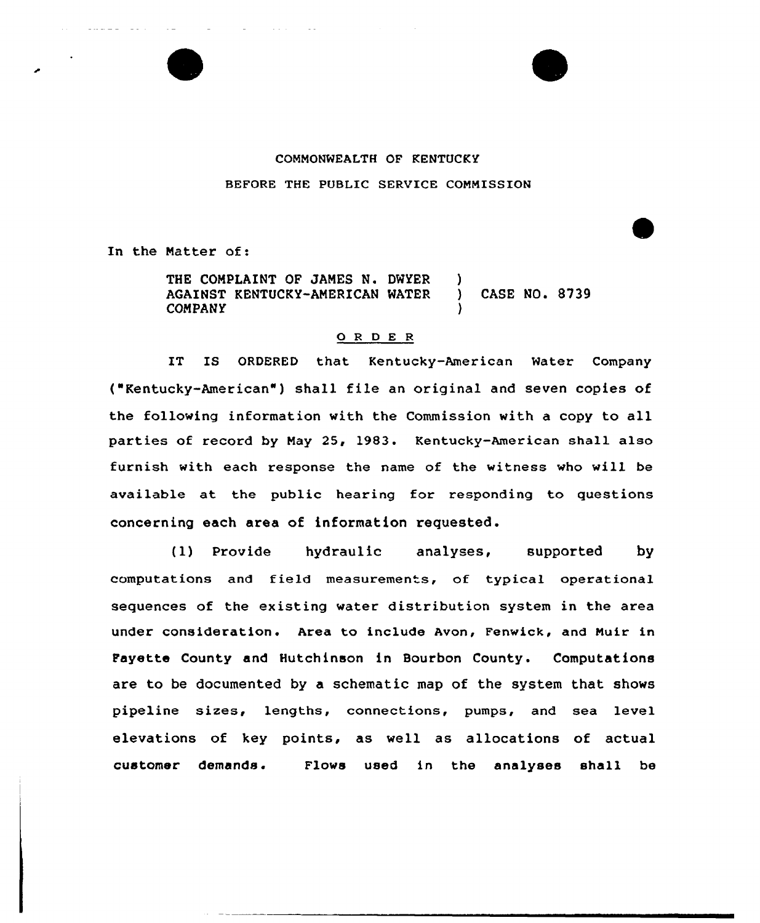

## COMMONWEALTH OF KENTUCKY BEFORE THE PUBLIC SERVICE COMNISSION

In the Matter of:

THE COMPLAINT OF JAMES N. DWYER )<br>AGAINST KENTUCKY-AMERICAN WATER ) AGAINST KENTUCKY-AMERICAN MATER ) CASE NO. 8739 **COMPANY** 

## 0 <sup>R</sup> <sup>D</sup> E <sup>R</sup>

IT IS ORDERED that Kentucky-American Water Company ("Kentucky-American" ) shall file an original and seven copies of the following information with the Commission with a copy to all parties of record by May 25, 1983. Kentucky-American shall also furnish with each response the name of the witness who will be available at the public hearing for responding to questions concerning each area of information requested.

(1) Provide hydraulic analyses, supported by computations and field measurements, of typical operational sequences of the existing water distribution system in the area under consideration. Area to include Avon, Fenwick, and Muir in Fayette County and Hutchinson in Bourbon County. Computations are to be documented by a schematic map of the system that shows pipeline sizes, lengths, connections, pumps, and sea level elevations of key points, as well as allocations of actual customer demands. Flows used in the analyses shall be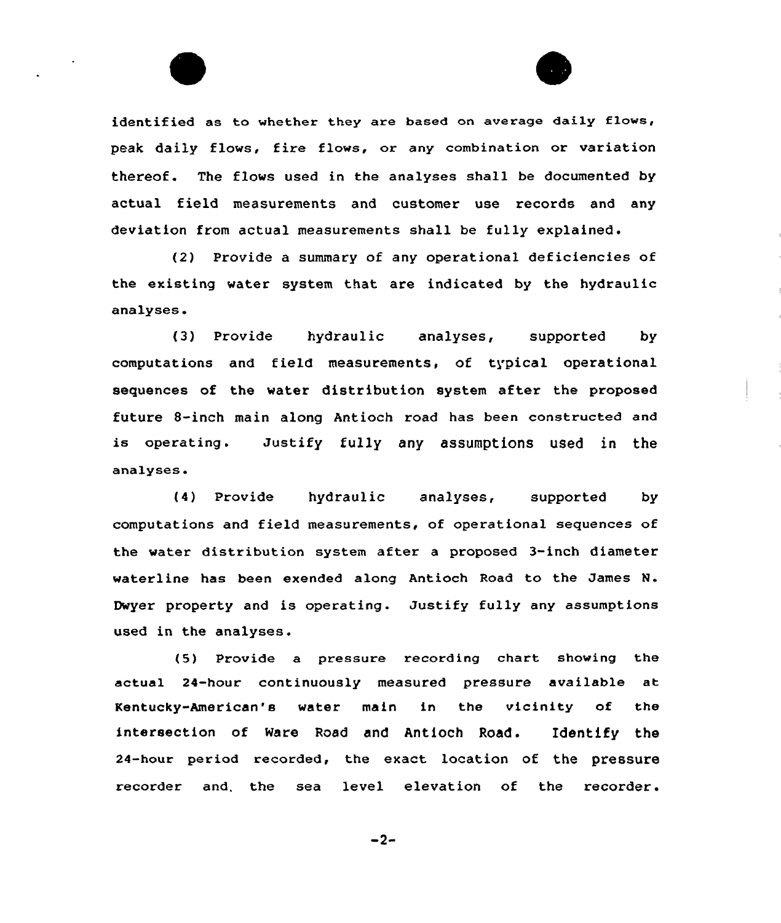identified as to whether they are based on average daily flows, peak daily flows, fire flows, or any combination or variation thereof. The flows used in the analyses shall be documented by actual field measurements and customer use records and any deviation from actual measurements shall be fully explained.

(2) Provide a summary of any operational deficiencies of the existing water system that are indicated by the hydraulic analyses.

(3) Provide hydraulic analyses, supported by computations and field measurements, of typical operational sequences of the water distribution system after the proposed future 8-inch main along Antioch road has been constructed and is operating. Justify fully any assumptions used in the analyses.

(4) Provide hydraulic analyses, supported by computations and field measurements, of operational sequences of the water distribution system after a proposed 3-inch diameter waterline has been exended along Antioch Road to the James N. Dwyer property and is operating. Justify fully any assumptions used in the analyses.

(5) Provide a pressure recording chart showing the actual 24-hour continuously measured pressure available at Kentucky-American's water main in the vicinity of the intersection of Ware Road and Antioch Road. Identify the 24-hour period recorded, the exact location of the pressure recorder and. the sea level elevation of the recorder.

 $-2-$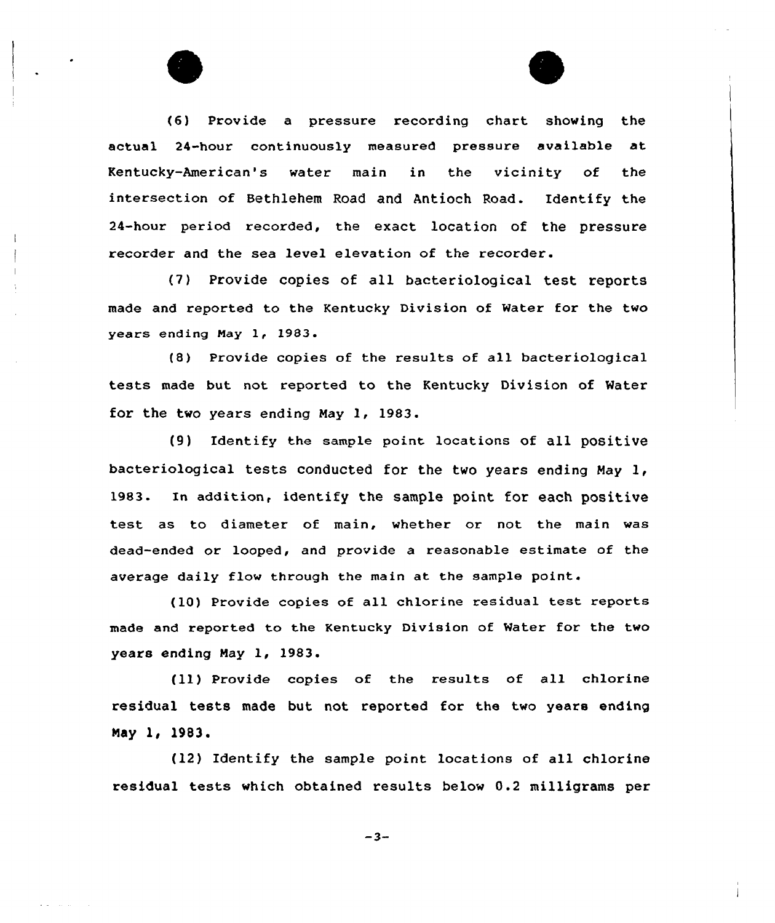(6) Provide a pressure recording chart showing the actual 24-hour continuously measured pressure available at Kentucky-American's water main in the vicinity of the intersection of Bethlehem Road and Antioch Road. Identify the 24-hour period recorded, the exact location of the pressure recorder and the sea level elevation of the recorder.

(7) Provide copies of all bacteriological test reports made and reported to the Kentucky Division of Water for the two years ending Nay 1, 1983.

(8) Provide copies of the results of all bacteriological tests made but not reported to the Kentucky Division of Water for the two years ending May 1, 1983.

(9) Identify the sample point locations of all positive bacteriological tests conducted for the two years ending May 1, 1983. In addition, identify the sample point for each positive test as to diameter of main, whether or not the main was dead-ended or looped, and provide a reasonable estimate of the average daily flow through the main at the sample point.

(10) Provide copies of all chlorine residual test reports made and reported to the Kentucky Division of Water for the two years ending May 1, 1983.

(ll) Provide copies of the results of all chlorine residual tests made but not reported for the two years ending May 1, 1983.

(12) Identify the sample point locations of all chlorine residual tests which obtained results below 0.2 milligrams per

 $-3-$